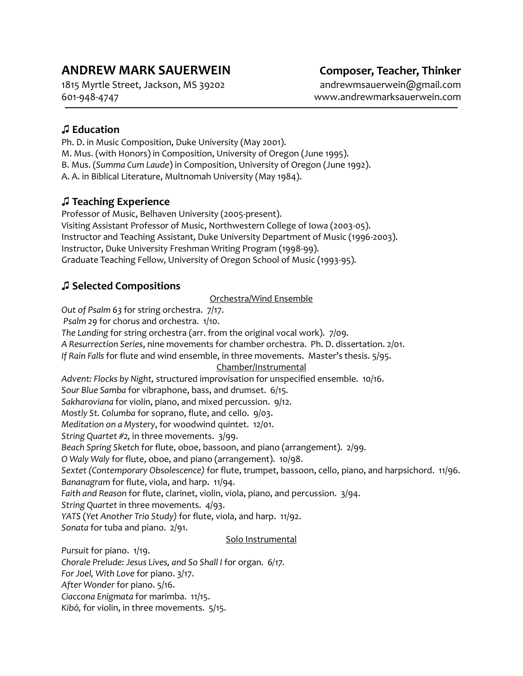# **ANDREW MARK SAUERWEIN Composer, Teacher, Thinker**

1815 Myrtle Street, Jackson, MS 39202 andrewmsauerwein@gmail.com 601-948-4747 www.andrewmarksauerwein.com

## **♫ Education**

Ph. D. in Music Composition, Duke University (May 2001). M. Mus. (with Honors) in Composition, University of Oregon (June 1995). B. Mus. (*Summa Cum Laude*) in Composition, University of Oregon (June 1992). A. A. in Biblical Literature, Multnomah University (May 1984).

## **♫ Teaching Experience**

Professor of Music, Belhaven University (2005-present). Visiting Assistant Professor of Music, Northwestern College of Iowa (2003-05). Instructor and Teaching Assistant, Duke University Department of Music (1996-2003). Instructor, Duke University Freshman Writing Program (1998-99). Graduate Teaching Fellow, University of Oregon School of Music (1993-95).

## **♫ Selected Compositions**

Orchestra/Wind Ensemble

*Out of Psalm 63* for string orchestra. 7/17.

*Psalm 29* for chorus and orchestra. 1/10.

*The Landing* for string orchestra (arr. from the original vocal work). 7/09.

*A Resurrection Series*, nine movements for chamber orchestra.Ph. D. dissertation. 2/01.

*If Rain Falls* for flute and wind ensemble, in three movements. Master's thesis. 5/95.

Chamber/Instrumental

*Advent: Flocks by Night,* structured improvisation for unspecified ensemble. 10/16.

*Sour Blue Samba* for vibraphone, bass, and drumset. 6/15.

*Sakharoviana* for violin, piano, and mixed percussion. 9/12.

*Mostly St. Columba* for soprano, flute, and cello. 9/03.

*Meditation on a Mystery*, for woodwind quintet. 12/01.

*String Quartet #2,* in three movements. 3/99.

*Beach Spring Sketch* for flute, oboe, bassoon, and piano (arrangement). 2/99.

*O Waly Waly* for flute, oboe, and piano (arrangement). 10/98.

*Sextet (Contemporary Obsolescence)* for flute, trumpet, bassoon, cello, piano, and harpsichord. 11/96. *Bananagram* for flute, viola, and harp. 11/94.

*Faith and Reason* for flute, clarinet, violin, viola, piano, and percussion. 3/94.

*String Quartet* in three movements. 4/93.

*YATS* (*Yet Another Trio Study)* for flute, viola, and harp. 11/92.

*Sonata* for tuba and piano. 2/91.

### Solo Instrumental

*Pursuit* for piano. 1/19.

*Chorale Prelude: Jesus Lives, and So Shall I* for organ*. 6/17.*

*For Joel, With Love* for piano. 3/17.

*After Wonder* for piano. 5/16.

*Ciaccona Enigmata* for marimba. 11/15.

*Kibō,* for violin, in three movements. 5/15.